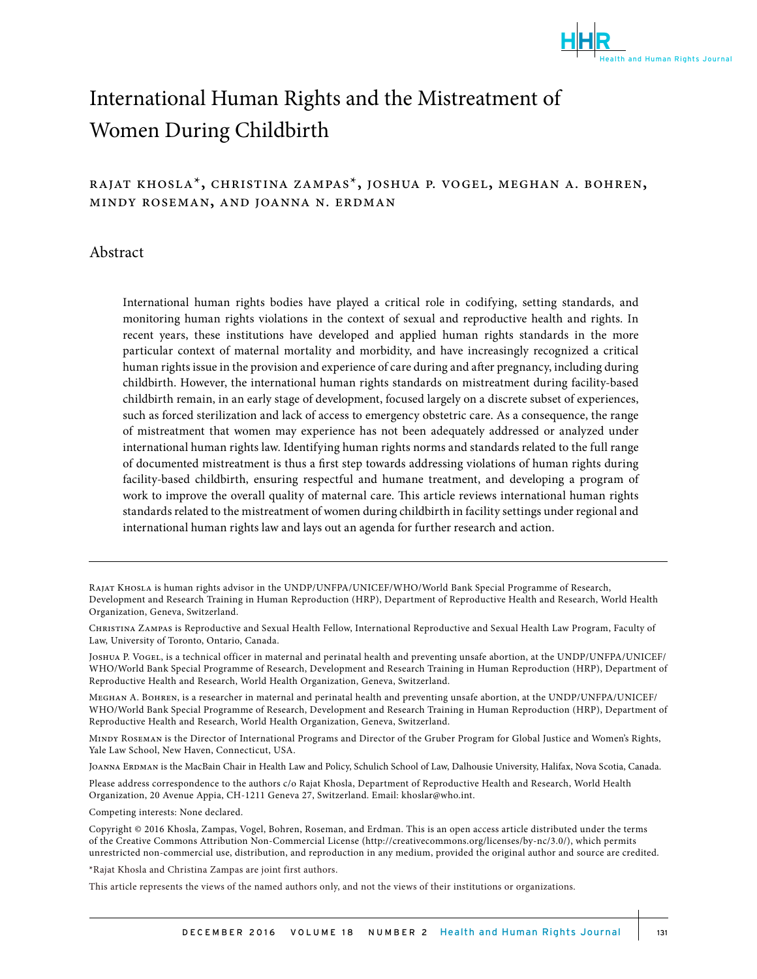

# International Human Rights and the Mistreatment of Women During Childbirth

# rajat khosla\***,** christina zampas\***,** joshua p. vogel**,** meghan a. bohren**,**  mindy roseman**,** and joanna n. erdman

## Abstract

International human rights bodies have played a critical role in codifying, setting standards, and monitoring human rights violations in the context of sexual and reproductive health and rights. In recent years, these institutions have developed and applied human rights standards in the more particular context of maternal mortality and morbidity, and have increasingly recognized a critical human rights issue in the provision and experience of care during and after pregnancy, including during childbirth. However, the international human rights standards on mistreatment during facility-based childbirth remain, in an early stage of development, focused largely on a discrete subset of experiences, such as forced sterilization and lack of access to emergency obstetric care. As a consequence, the range of mistreatment that women may experience has not been adequately addressed or analyzed under international human rights law. Identifying human rights norms and standards related to the full range of documented mistreatment is thus a first step towards addressing violations of human rights during facility-based childbirth, ensuring respectful and humane treatment, and developing a program of work to improve the overall quality of maternal care. This article reviews international human rights standards related to the mistreatment of women during childbirth in facility settings under regional and international human rights law and lays out an agenda for further research and action.

Please address correspondence to the authors c/o Rajat Khosla, Department of Reproductive Health and Research, World Health Organization, 20 Avenue Appia, CH-1211 Geneva 27, Switzerland. Email: khoslar@who.int.

Competing interests: None declared.

\*Rajat Khosla and Christina Zampas are joint first authors.

This article represents the views of the named authors only, and not the views of their institutions or organizations.

Rajat Khosla is human rights advisor in the UNDP/UNFPA/UNICEF/WHO/World Bank Special Programme of Research, Development and Research Training in Human Reproduction (HRP), Department of Reproductive Health and Research, World Health Organization, Geneva, Switzerland.

Christina Zampas is Reproductive and Sexual Health Fellow, International Reproductive and Sexual Health Law Program, Faculty of Law, University of Toronto, Ontario, Canada.

Joshua P. Vogel, is a technical officer in maternal and perinatal health and preventing unsafe abortion, at the UNDP/UNFPA/UNICEF/ WHO/World Bank Special Programme of Research, Development and Research Training in Human Reproduction (HRP), Department of Reproductive Health and Research, World Health Organization, Geneva, Switzerland.

Meghan A. Bohren, is a researcher in maternal and perinatal health and preventing unsafe abortion, at the UNDP/UNFPA/UNICEF/ WHO/World Bank Special Programme of Research, Development and Research Training in Human Reproduction (HRP), Department of Reproductive Health and Research, World Health Organization, Geneva, Switzerland.

Mindy Roseman is the Director of International Programs and Director of the Gruber Program for Global Justice and Women's Rights, Yale Law School, New Haven, Connecticut, USA.

JOANNA ERDMAN is the MacBain Chair in Health Law and Policy, Schulich School of Law, Dalhousie University, Halifax, Nova Scotia, Canada.

Copyright © 2016 Khosla, Zampas, Vogel, Bohren, Roseman, and Erdman. This is an open access article distributed under the terms of the Creative Commons Attribution Non-Commercial License (http://creativecommons.org/licenses/by-nc/3.0/), which permits unrestricted non-commercial use, distribution, and reproduction in any medium, provided the original author and source are credited.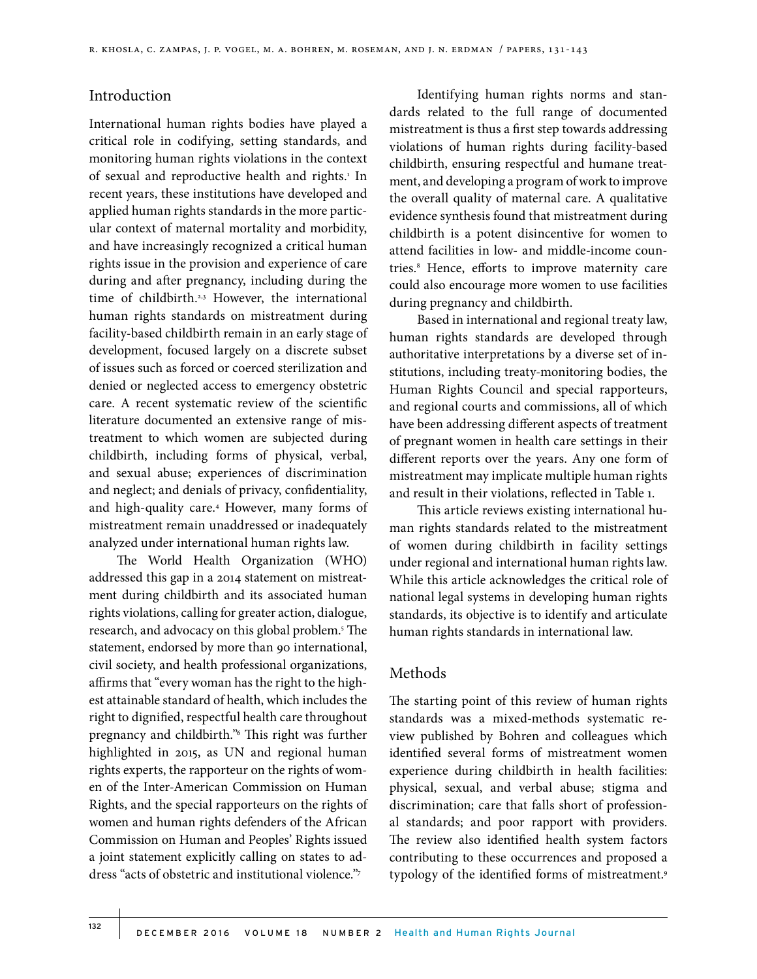# Introduction

International human rights bodies have played a critical role in codifying, setting standards, and monitoring human rights violations in the context of sexual and reproductive health and rights.<sup>1</sup> In recent years, these institutions have developed and applied human rights standards in the more particular context of maternal mortality and morbidity, and have increasingly recognized a critical human rights issue in the provision and experience of care during and after pregnancy, including during the time of childbirth.<sup>2,3</sup> However, the international human rights standards on mistreatment during facility-based childbirth remain in an early stage of development, focused largely on a discrete subset of issues such as forced or coerced sterilization and denied or neglected access to emergency obstetric care. A recent systematic review of the scientific literature documented an extensive range of mistreatment to which women are subjected during childbirth, including forms of physical, verbal, and sexual abuse; experiences of discrimination and neglect; and denials of privacy, confidentiality, and high-quality care.4 However, many forms of mistreatment remain unaddressed or inadequately analyzed under international human rights law.

The World Health Organization (WHO) addressed this gap in a 2014 statement on mistreatment during childbirth and its associated human rights violations, calling for greater action, dialogue, research, and advocacy on this global problem.5 The statement, endorsed by more than 90 international, civil society, and health professional organizations, affirms that "every woman has the right to the highest attainable standard of health, which includes the right to dignified, respectful health care throughout pregnancy and childbirth."6 This right was further highlighted in 2015, as UN and regional human rights experts, the rapporteur on the rights of women of the Inter-American Commission on Human Rights, and the special rapporteurs on the rights of women and human rights defenders of the African Commission on Human and Peoples' Rights issued a joint statement explicitly calling on states to address "acts of obstetric and institutional violence."7

Identifying human rights norms and standards related to the full range of documented mistreatment is thus a first step towards addressing violations of human rights during facility-based childbirth, ensuring respectful and humane treatment, and developing a program of work to improve the overall quality of maternal care. A qualitative evidence synthesis found that mistreatment during childbirth is a potent disincentive for women to attend facilities in low- and middle-income countries.8 Hence, efforts to improve maternity care could also encourage more women to use facilities during pregnancy and childbirth.

Based in international and regional treaty law, human rights standards are developed through authoritative interpretations by a diverse set of institutions, including treaty-monitoring bodies, the Human Rights Council and special rapporteurs, and regional courts and commissions, all of which have been addressing different aspects of treatment of pregnant women in health care settings in their different reports over the years. Any one form of mistreatment may implicate multiple human rights and result in their violations, reflected in Table 1.

This article reviews existing international human rights standards related to the mistreatment of women during childbirth in facility settings under regional and international human rights law. While this article acknowledges the critical role of national legal systems in developing human rights standards, its objective is to identify and articulate human rights standards in international law.

## Methods

The starting point of this review of human rights standards was a mixed-methods systematic review published by Bohren and colleagues which identified several forms of mistreatment women experience during childbirth in health facilities: physical, sexual, and verbal abuse; stigma and discrimination; care that falls short of professional standards; and poor rapport with providers. The review also identified health system factors contributing to these occurrences and proposed a typology of the identified forms of mistreatment.9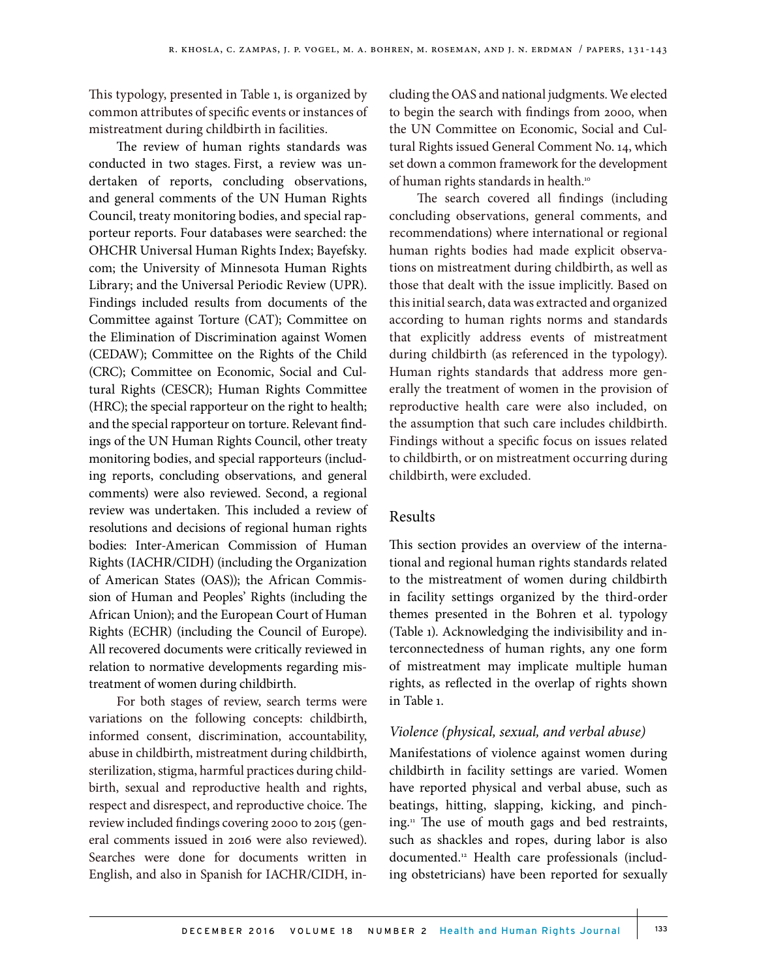This typology, presented in Table 1, is organized by common attributes of specific events or instances of mistreatment during childbirth in facilities.

The review of human rights standards was conducted in two stages. First, a review was undertaken of reports, concluding observations, and general comments of the UN Human Rights Council, treaty monitoring bodies, and special rapporteur reports. Four databases were searched: the OHCHR Universal Human Rights Index; Bayefsky. com; the University of Minnesota Human Rights Library; and the Universal Periodic Review (UPR). Findings included results from documents of the Committee against Torture (CAT); Committee on the Elimination of Discrimination against Women (CEDAW); Committee on the Rights of the Child (CRC); Committee on Economic, Social and Cultural Rights (CESCR); Human Rights Committee (HRC); the special rapporteur on the right to health; and the special rapporteur on torture. Relevant findings of the UN Human Rights Council, other treaty monitoring bodies, and special rapporteurs (including reports, concluding observations, and general comments) were also reviewed. Second, a regional review was undertaken. This included a review of resolutions and decisions of regional human rights bodies: Inter-American Commission of Human Rights (IACHR/CIDH) (including the Organization of American States (OAS)); the African Commission of Human and Peoples' Rights (including the African Union); and the European Court of Human Rights (ECHR) (including the Council of Europe). All recovered documents were critically reviewed in relation to normative developments regarding mistreatment of women during childbirth.

For both stages of review, search terms were variations on the following concepts: childbirth, informed consent, discrimination, accountability, abuse in childbirth, mistreatment during childbirth, sterilization, stigma, harmful practices during childbirth, sexual and reproductive health and rights, respect and disrespect, and reproductive choice. The review included findings covering 2000 to 2015 (general comments issued in 2016 were also reviewed). Searches were done for documents written in English, and also in Spanish for IACHR/CIDH, including the OAS and national judgments. We elected to begin the search with findings from 2000, when the UN Committee on Economic, Social and Cultural Rights issued General Comment No. 14, which set down a common framework for the development of human rights standards in health.10

The search covered all findings (including concluding observations, general comments, and recommendations) where international or regional human rights bodies had made explicit observations on mistreatment during childbirth, as well as those that dealt with the issue implicitly. Based on this initial search, data was extracted and organized according to human rights norms and standards that explicitly address events of mistreatment during childbirth (as referenced in the typology). Human rights standards that address more generally the treatment of women in the provision of reproductive health care were also included, on the assumption that such care includes childbirth. Findings without a specific focus on issues related to childbirth, or on mistreatment occurring during childbirth, were excluded.

# Results

This section provides an overview of the international and regional human rights standards related to the mistreatment of women during childbirth in facility settings organized by the third-order themes presented in the Bohren et al. typology (Table 1). Acknowledging the indivisibility and interconnectedness of human rights, any one form of mistreatment may implicate multiple human rights, as reflected in the overlap of rights shown in Table 1.

# *Violence (physical, sexual, and verbal abuse)*

Manifestations of violence against women during childbirth in facility settings are varied. Women have reported physical and verbal abuse, such as beatings, hitting, slapping, kicking, and pinching.11 The use of mouth gags and bed restraints, such as shackles and ropes, during labor is also documented.12 Health care professionals (including obstetricians) have been reported for sexually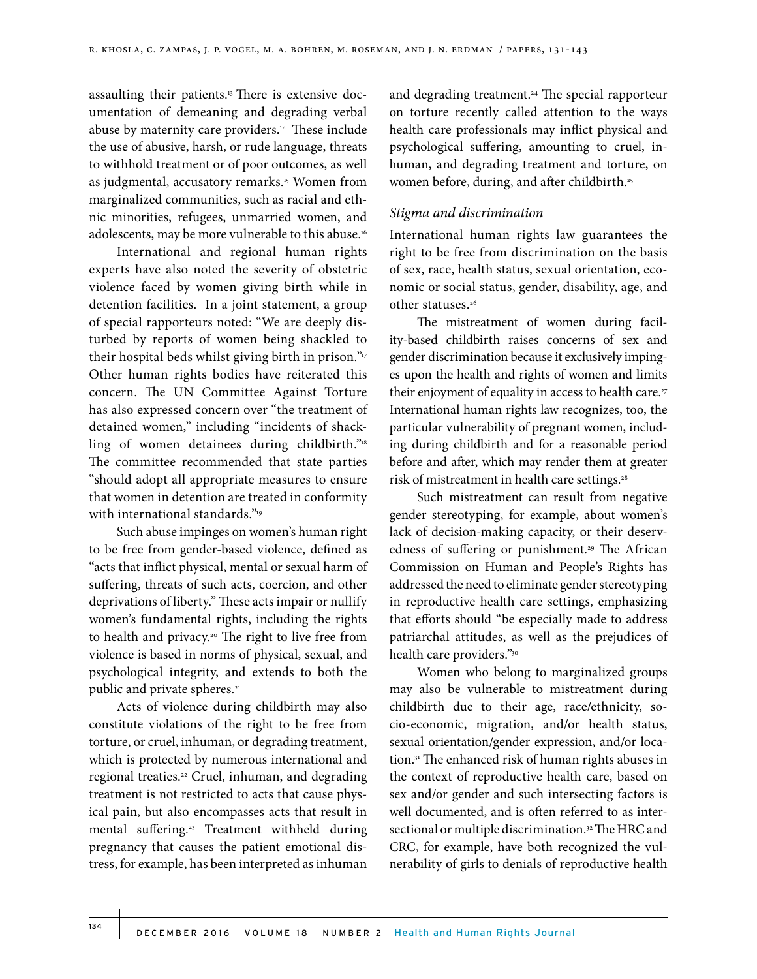assaulting their patients.<sup>13</sup> There is extensive documentation of demeaning and degrading verbal abuse by maternity care providers.14 These include the use of abusive, harsh, or rude language, threats to withhold treatment or of poor outcomes, as well as judgmental, accusatory remarks.<sup>15</sup> Women from marginalized communities, such as racial and ethnic minorities, refugees, unmarried women, and adolescents, may be more vulnerable to this abuse.16

International and regional human rights experts have also noted the severity of obstetric violence faced by women giving birth while in detention facilities. In a joint statement, a group of special rapporteurs noted: "We are deeply disturbed by reports of women being shackled to their hospital beds whilst giving birth in prison."<sup>17</sup> Other human rights bodies have reiterated this concern. The UN Committee Against Torture has also expressed concern over "the treatment of detained women," including "incidents of shackling of women detainees during childbirth."18 The committee recommended that state parties "should adopt all appropriate measures to ensure that women in detention are treated in conformity with international standards."<sup>19</sup>

Such abuse impinges on women's human right to be free from gender-based violence, defined as "acts that inflict physical, mental or sexual harm of suffering, threats of such acts, coercion, and other deprivations of liberty." These acts impair or nullify women's fundamental rights, including the rights to health and privacy.20 The right to live free from violence is based in norms of physical, sexual, and psychological integrity, and extends to both the public and private spheres.<sup>21</sup>

Acts of violence during childbirth may also constitute violations of the right to be free from torture, or cruel, inhuman, or degrading treatment, which is protected by numerous international and regional treaties.22 Cruel, inhuman, and degrading treatment is not restricted to acts that cause physical pain, but also encompasses acts that result in mental suffering.23 Treatment withheld during pregnancy that causes the patient emotional distress, for example, has been interpreted as inhuman and degrading treatment.<sup>24</sup> The special rapporteur on torture recently called attention to the ways health care professionals may inflict physical and psychological suffering, amounting to cruel, inhuman, and degrading treatment and torture, on women before, during, and after childbirth.<sup>25</sup>

#### *Stigma and discrimination*

International human rights law guarantees the right to be free from discrimination on the basis of sex, race, health status, sexual orientation, economic or social status, gender, disability, age, and other statuses.26

The mistreatment of women during facility-based childbirth raises concerns of sex and gender discrimination because it exclusively impinges upon the health and rights of women and limits their enjoyment of equality in access to health care.<sup>27</sup> International human rights law recognizes, too, the particular vulnerability of pregnant women, including during childbirth and for a reasonable period before and after, which may render them at greater risk of mistreatment in health care settings.<sup>28</sup>

Such mistreatment can result from negative gender stereotyping, for example, about women's lack of decision-making capacity, or their deservedness of suffering or punishment.<sup>29</sup> The African Commission on Human and People's Rights has addressed the need to eliminate gender stereotyping in reproductive health care settings, emphasizing that efforts should "be especially made to address patriarchal attitudes, as well as the prejudices of health care providers."30

Women who belong to marginalized groups may also be vulnerable to mistreatment during childbirth due to their age, race/ethnicity, socio-economic, migration, and/or health status, sexual orientation/gender expression, and/or location.31 The enhanced risk of human rights abuses in the context of reproductive health care, based on sex and/or gender and such intersecting factors is well documented, and is often referred to as intersectional or multiple discrimination.<sup>32</sup> The HRC and CRC, for example, have both recognized the vulnerability of girls to denials of reproductive health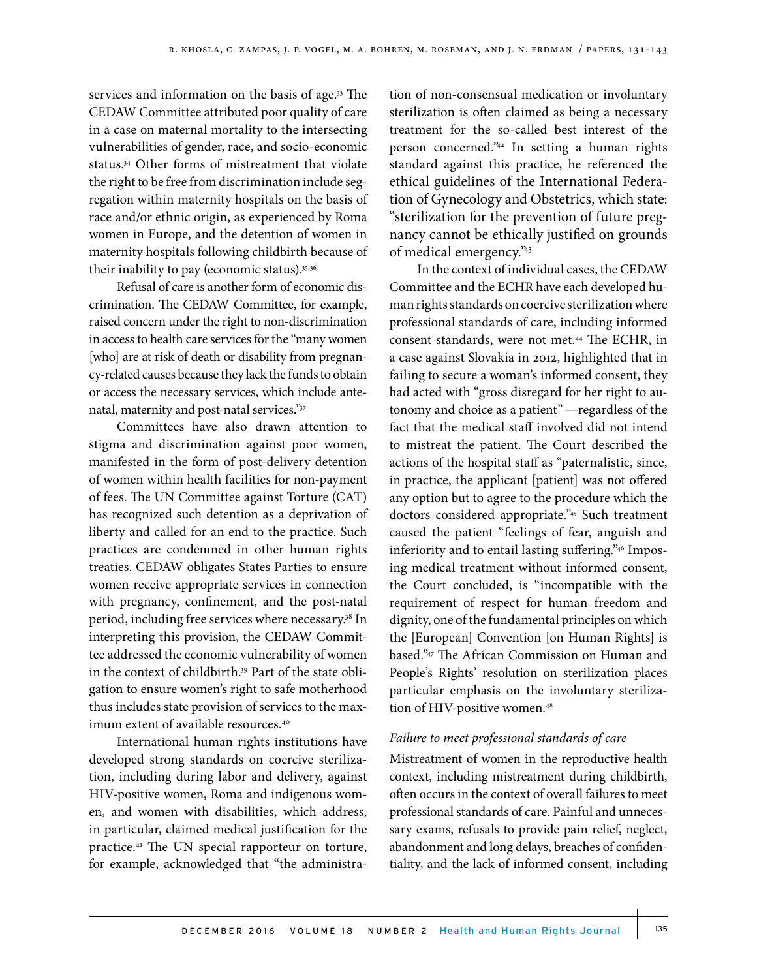services and information on the basis of age.<sup>33</sup> The CEDAW Committee attributed poor quality of care in a case on maternal mortality to the intersecting vulnerabilities of gender, race, and socio-economic status.34 Other forms of mistreatment that violate the right to be free from discrimination include segregation within maternity hospitals on the basis of race and/or ethnic origin, as experienced by Roma women in Europe, and the detention of women in maternity hospitals following childbirth because of their inability to pay (economic status).35,36

Refusal of care is another form of economic discrimination. The CEDAW Committee, for example, raised concern under the right to non-discrimination in access to health care services for the "many women [who] are at risk of death or disability from pregnancy-related causes because they lack the funds to obtain or access the necessary services, which include antenatal, maternity and post-natal services."37

Committees have also drawn attention to stigma and discrimination against poor women, manifested in the form of post-delivery detention of women within health facilities for non-payment of fees. The UN Committee against Torture (CAT) has recognized such detention as a deprivation of liberty and called for an end to the practice. Such practices are condemned in other human rights treaties. CEDAW obligates States Parties to ensure women receive appropriate services in connection with pregnancy, confinement, and the post-natal period, including free services where necessary.<sup>38</sup> In interpreting this provision, the CEDAW Committee addressed the economic vulnerability of women in the context of childbirth.<sup>39</sup> Part of the state obligation to ensure women's right to safe motherhood thus includes state provision of services to the maximum extent of available resources.<sup>40</sup>

International human rights institutions have developed strong standards on coercive sterilization, including during labor and delivery, against HIV-positive women, Roma and indigenous women, and women with disabilities, which address, in particular, claimed medical justification for the practice.41 The UN special rapporteur on torture, for example, acknowledged that "the administra-

tion of non-consensual medication or involuntary sterilization is often claimed as being a necessary treatment for the so-called best interest of the person concerned."42 In setting a human rights standard against this practice, he referenced the ethical guidelines of the International Federation of Gynecology and Obstetrics, which state: "sterilization for the prevention of future pregnancy cannot be ethically justified on grounds of medical emergency."43

In the context of individual cases, the CEDAW Committee and the ECHR have each developed human rights standards on coercive sterilization where professional standards of care, including informed consent standards, were not met.44 The ECHR, in a case against Slovakia in 2012, highlighted that in failing to secure a woman's informed consent, they had acted with "gross disregard for her right to autonomy and choice as a patient" —regardless of the fact that the medical staff involved did not intend to mistreat the patient. The Court described the actions of the hospital staff as "paternalistic, since, in practice, the applicant [patient] was not offered any option but to agree to the procedure which the doctors considered appropriate."45 Such treatment caused the patient "feelings of fear, anguish and inferiority and to entail lasting suffering."46 Imposing medical treatment without informed consent, the Court concluded, is "incompatible with the requirement of respect for human freedom and dignity, one of the fundamental principles on which the [European] Convention [on Human Rights] is based."47 The African Commission on Human and People's Rights' resolution on sterilization places particular emphasis on the involuntary sterilization of HIV-positive women.<sup>48</sup>

## *Failure to meet professional standards of care*

Mistreatment of women in the reproductive health context, including mistreatment during childbirth, often occurs in the context of overall failures to meet professional standards of care. Painful and unnecessary exams, refusals to provide pain relief, neglect, abandonment and long delays, breaches of confidentiality, and the lack of informed consent, including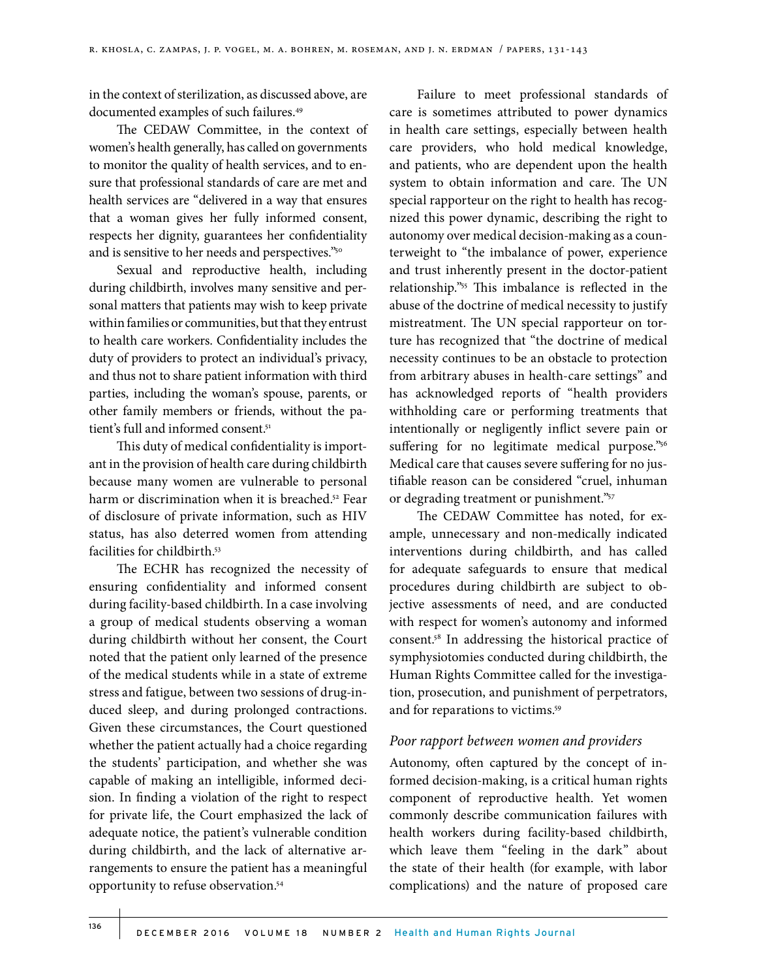in the context of sterilization, as discussed above, are documented examples of such failures.49

The CEDAW Committee, in the context of women's health generally, has called on governments to monitor the quality of health services, and to ensure that professional standards of care are met and health services are "delivered in a way that ensures that a woman gives her fully informed consent, respects her dignity, guarantees her confidentiality and is sensitive to her needs and perspectives."50

Sexual and reproductive health, including during childbirth, involves many sensitive and personal matters that patients may wish to keep private within families or communities, but that they entrust to health care workers. Confidentiality includes the duty of providers to protect an individual's privacy, and thus not to share patient information with third parties, including the woman's spouse, parents, or other family members or friends, without the patient's full and informed consent.<sup>51</sup>

This duty of medical confidentiality is important in the provision of health care during childbirth because many women are vulnerable to personal harm or discrimination when it is breached.<sup>52</sup> Fear of disclosure of private information, such as HIV status, has also deterred women from attending facilities for childbirth.53

The ECHR has recognized the necessity of ensuring confidentiality and informed consent during facility-based childbirth. In a case involving a group of medical students observing a woman during childbirth without her consent, the Court noted that the patient only learned of the presence of the medical students while in a state of extreme stress and fatigue, between two sessions of drug-induced sleep, and during prolonged contractions. Given these circumstances, the Court questioned whether the patient actually had a choice regarding the students' participation, and whether she was capable of making an intelligible, informed decision. In finding a violation of the right to respect for private life, the Court emphasized the lack of adequate notice, the patient's vulnerable condition during childbirth, and the lack of alternative arrangements to ensure the patient has a meaningful opportunity to refuse observation.54

Failure to meet professional standards of care is sometimes attributed to power dynamics in health care settings, especially between health care providers, who hold medical knowledge, and patients, who are dependent upon the health system to obtain information and care. The UN special rapporteur on the right to health has recognized this power dynamic, describing the right to autonomy over medical decision-making as a counterweight to "the imbalance of power, experience and trust inherently present in the doctor-patient relationship."55 This imbalance is reflected in the abuse of the doctrine of medical necessity to justify mistreatment. The UN special rapporteur on torture has recognized that "the doctrine of medical necessity continues to be an obstacle to protection from arbitrary abuses in health-care settings" and has acknowledged reports of "health providers withholding care or performing treatments that intentionally or negligently inflict severe pain or suffering for no legitimate medical purpose."56 Medical care that causes severe suffering for no justifiable reason can be considered "cruel, inhuman or degrading treatment or punishment."57

The CEDAW Committee has noted, for example, unnecessary and non-medically indicated interventions during childbirth, and has called for adequate safeguards to ensure that medical procedures during childbirth are subject to objective assessments of need, and are conducted with respect for women's autonomy and informed consent.58 In addressing the historical practice of symphysiotomies conducted during childbirth, the Human Rights Committee called for the investigation, prosecution, and punishment of perpetrators, and for reparations to victims.59

## *Poor rapport between women and providers*

Autonomy, often captured by the concept of informed decision-making, is a critical human rights component of reproductive health. Yet women commonly describe communication failures with health workers during facility-based childbirth, which leave them "feeling in the dark" about the state of their health (for example, with labor complications) and the nature of proposed care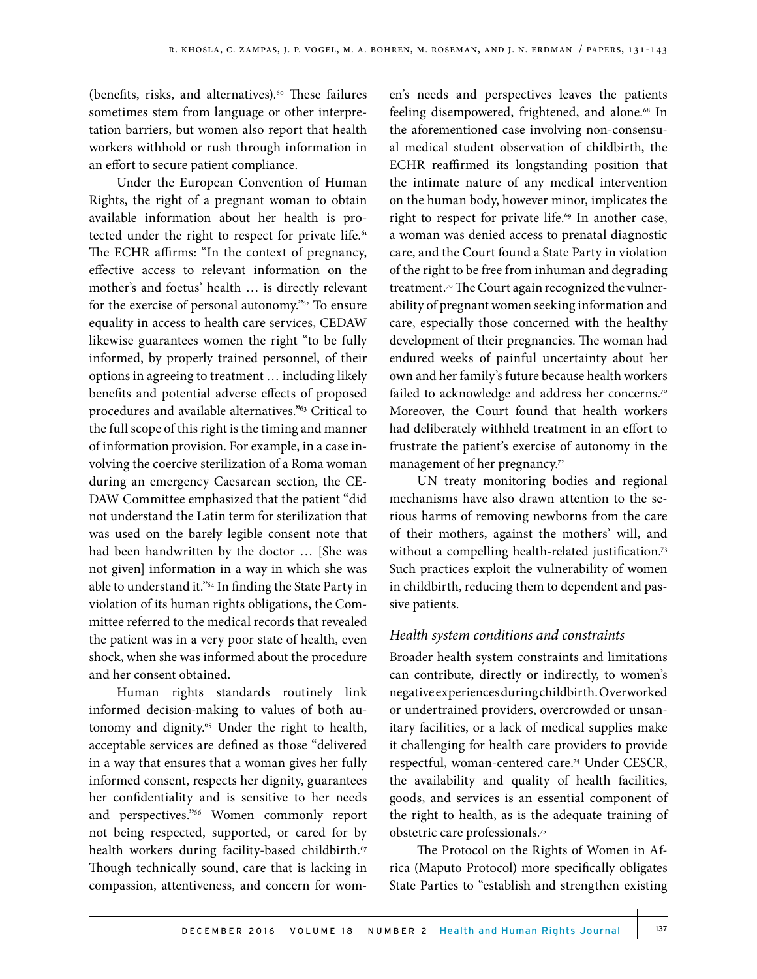(benefits, risks, and alternatives).<sup>60</sup> These failures sometimes stem from language or other interpretation barriers, but women also report that health workers withhold or rush through information in an effort to secure patient compliance.

Under the European Convention of Human Rights, the right of a pregnant woman to obtain available information about her health is protected under the right to respect for private life.<sup>61</sup> The ECHR affirms: "In the context of pregnancy, effective access to relevant information on the mother's and foetus' health … is directly relevant for the exercise of personal autonomy."62 To ensure equality in access to health care services, CEDAW likewise guarantees women the right "to be fully informed, by properly trained personnel, of their options in agreeing to treatment … including likely benefits and potential adverse effects of proposed procedures and available alternatives."63 Critical to the full scope of this right is the timing and manner of information provision. For example, in a case involving the coercive sterilization of a Roma woman during an emergency Caesarean section, the CE-DAW Committee emphasized that the patient "did not understand the Latin term for sterilization that was used on the barely legible consent note that had been handwritten by the doctor … [She was not given] information in a way in which she was able to understand it."64 In finding the State Party in violation of its human rights obligations, the Committee referred to the medical records that revealed the patient was in a very poor state of health, even shock, when she was informed about the procedure and her consent obtained.

Human rights standards routinely link informed decision-making to values of both autonomy and dignity.<sup>65</sup> Under the right to health, acceptable services are defined as those "delivered in a way that ensures that a woman gives her fully informed consent, respects her dignity, guarantees her confidentiality and is sensitive to her needs and perspectives."66 Women commonly report not being respected, supported, or cared for by health workers during facility-based childbirth.<sup>67</sup> Though technically sound, care that is lacking in compassion, attentiveness, and concern for women's needs and perspectives leaves the patients feeling disempowered, frightened, and alone.<sup>68</sup> In the aforementioned case involving non-consensual medical student observation of childbirth, the ECHR reaffirmed its longstanding position that the intimate nature of any medical intervention on the human body, however minor, implicates the right to respect for private life.<sup>69</sup> In another case, a woman was denied access to prenatal diagnostic care, and the Court found a State Party in violation of the right to be free from inhuman and degrading treatment.<sup>70</sup> The Court again recognized the vulnerability of pregnant women seeking information and care, especially those concerned with the healthy development of their pregnancies. The woman had endured weeks of painful uncertainty about her own and her family's future because health workers failed to acknowledge and address her concerns.<sup>70</sup> Moreover, the Court found that health workers had deliberately withheld treatment in an effort to frustrate the patient's exercise of autonomy in the management of her pregnancy.<sup>72</sup>

UN treaty monitoring bodies and regional mechanisms have also drawn attention to the serious harms of removing newborns from the care of their mothers, against the mothers' will, and without a compelling health-related justification.<sup>73</sup> Such practices exploit the vulnerability of women in childbirth, reducing them to dependent and passive patients.

# *Health system conditions and constraints*

Broader health system constraints and limitations can contribute, directly or indirectly, to women's negative experiences during childbirth. Overworked or undertrained providers, overcrowded or unsanitary facilities, or a lack of medical supplies make it challenging for health care providers to provide respectful, woman-centered care.74 Under CESCR, the availability and quality of health facilities, goods, and services is an essential component of the right to health, as is the adequate training of obstetric care professionals.75

The Protocol on the Rights of Women in Africa (Maputo Protocol) more specifically obligates State Parties to "establish and strengthen existing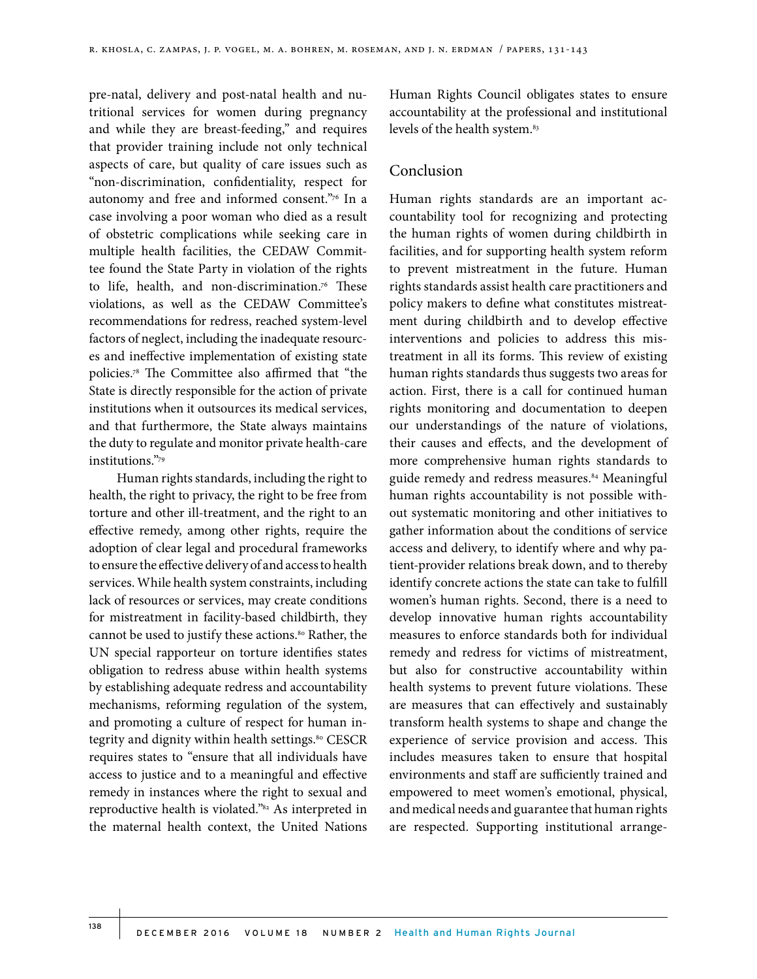pre-natal, delivery and post-natal health and nutritional services for women during pregnancy and while they are breast-feeding," and requires that provider training include not only technical aspects of care, but quality of care issues such as "non-discrimination, confidentiality, respect for autonomy and free and informed consent."76 In a case involving a poor woman who died as a result of obstetric complications while seeking care in multiple health facilities, the CEDAW Committee found the State Party in violation of the rights to life, health, and non-discrimination.<sup>76</sup> These violations, as well as the CEDAW Committee's recommendations for redress, reached system-level factors of neglect, including the inadequate resources and ineffective implementation of existing state policies.78 The Committee also affirmed that "the State is directly responsible for the action of private institutions when it outsources its medical services, and that furthermore, the State always maintains the duty to regulate and monitor private health-care institutions."79

Human rights standards, including the right to health, the right to privacy, the right to be free from torture and other ill-treatment, and the right to an effective remedy, among other rights, require the adoption of clear legal and procedural frameworks to ensure the effective delivery of and access to health services. While health system constraints, including lack of resources or services, may create conditions for mistreatment in facility-based childbirth, they cannot be used to justify these actions.<sup>80</sup> Rather, the UN special rapporteur on torture identifies states obligation to redress abuse within health systems by establishing adequate redress and accountability mechanisms, reforming regulation of the system, and promoting a culture of respect for human integrity and dignity within health settings.<sup>80</sup> CESCR requires states to "ensure that all individuals have access to justice and to a meaningful and effective remedy in instances where the right to sexual and reproductive health is violated."82 As interpreted in the maternal health context, the United Nations

Human Rights Council obligates states to ensure accountability at the professional and institutional levels of the health system.<sup>83</sup>

## Conclusion

Human rights standards are an important accountability tool for recognizing and protecting the human rights of women during childbirth in facilities, and for supporting health system reform to prevent mistreatment in the future. Human rights standards assist health care practitioners and policy makers to define what constitutes mistreatment during childbirth and to develop effective interventions and policies to address this mistreatment in all its forms. This review of existing human rights standards thus suggests two areas for action. First, there is a call for continued human rights monitoring and documentation to deepen our understandings of the nature of violations, their causes and effects, and the development of more comprehensive human rights standards to guide remedy and redress measures.<sup>84</sup> Meaningful human rights accountability is not possible without systematic monitoring and other initiatives to gather information about the conditions of service access and delivery, to identify where and why patient-provider relations break down, and to thereby identify concrete actions the state can take to fulfill women's human rights. Second, there is a need to develop innovative human rights accountability measures to enforce standards both for individual remedy and redress for victims of mistreatment, but also for constructive accountability within health systems to prevent future violations. These are measures that can effectively and sustainably transform health systems to shape and change the experience of service provision and access. This includes measures taken to ensure that hospital environments and staff are sufficiently trained and empowered to meet women's emotional, physical, and medical needs and guarantee that human rights are respected. Supporting institutional arrange-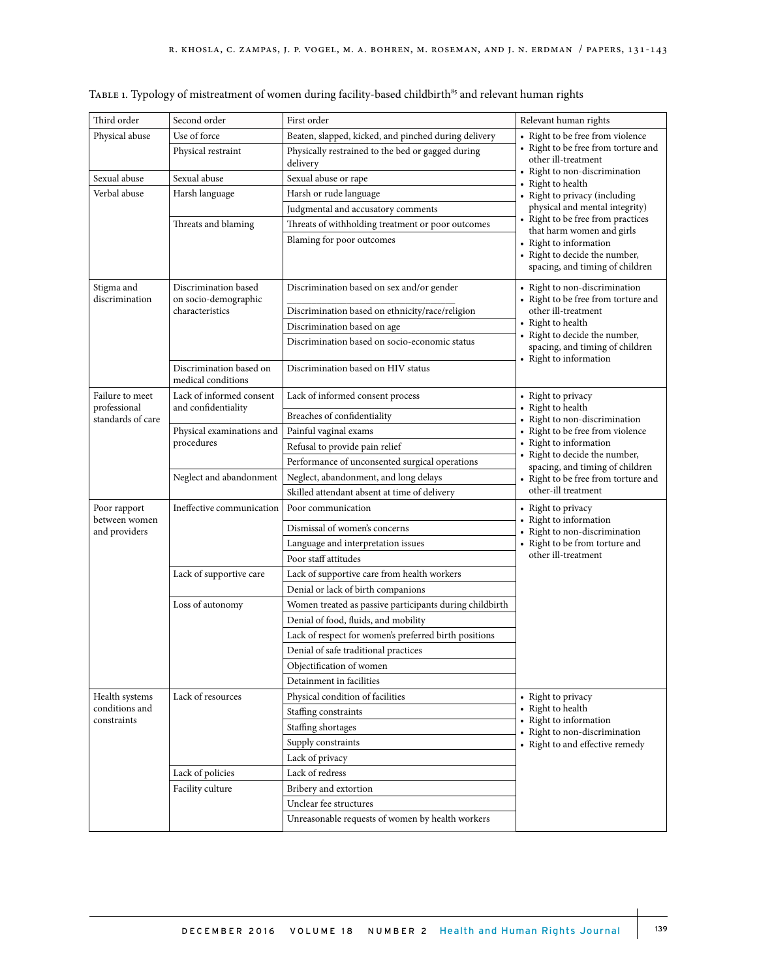| Third order                                          | Second order                                                    | First order                                                   | Relevant human rights                                                                                                                                                                                                                                                                                                                                                                   |
|------------------------------------------------------|-----------------------------------------------------------------|---------------------------------------------------------------|-----------------------------------------------------------------------------------------------------------------------------------------------------------------------------------------------------------------------------------------------------------------------------------------------------------------------------------------------------------------------------------------|
| Physical abuse                                       | Use of force                                                    | Beaten, slapped, kicked, and pinched during delivery          | • Right to be free from violence<br>• Right to be free from torture and<br>other ill-treatment<br>• Right to non-discrimination<br>• Right to health<br>• Right to privacy (including<br>physical and mental integrity)<br>• Right to be free from practices<br>that harm women and girls<br>• Right to information<br>• Right to decide the number,<br>spacing, and timing of children |
|                                                      | Physical restraint                                              | Physically restrained to the bed or gagged during<br>delivery |                                                                                                                                                                                                                                                                                                                                                                                         |
| Sexual abuse                                         | Sexual abuse                                                    | Sexual abuse or rape                                          |                                                                                                                                                                                                                                                                                                                                                                                         |
| Verbal abuse                                         | Harsh language                                                  | Harsh or rude language                                        |                                                                                                                                                                                                                                                                                                                                                                                         |
|                                                      |                                                                 | Judgmental and accusatory comments                            |                                                                                                                                                                                                                                                                                                                                                                                         |
|                                                      | Threats and blaming                                             | Threats of withholding treatment or poor outcomes             |                                                                                                                                                                                                                                                                                                                                                                                         |
|                                                      |                                                                 | Blaming for poor outcomes                                     |                                                                                                                                                                                                                                                                                                                                                                                         |
| Stigma and<br>discrimination                         | Discrimination based<br>on socio-demographic<br>characteristics | Discrimination based on sex and/or gender                     | • Right to non-discrimination<br>• Right to be free from torture and<br>other ill-treatment<br>• Right to health<br>• Right to decide the number,<br>spacing, and timing of children<br>• Right to information                                                                                                                                                                          |
|                                                      |                                                                 | Discrimination based on ethnicity/race/religion               |                                                                                                                                                                                                                                                                                                                                                                                         |
|                                                      |                                                                 | Discrimination based on age                                   |                                                                                                                                                                                                                                                                                                                                                                                         |
|                                                      |                                                                 | Discrimination based on socio-economic status                 |                                                                                                                                                                                                                                                                                                                                                                                         |
|                                                      | Discrimination based on<br>medical conditions                   | Discrimination based on HIV status                            |                                                                                                                                                                                                                                                                                                                                                                                         |
| Failure to meet<br>professional<br>standards of care | Lack of informed consent<br>and confidentiality                 | Lack of informed consent process                              | • Right to privacy<br>• Right to health<br>• Right to non-discrimination<br>• Right to be free from violence<br>• Right to information<br>• Right to decide the number,<br>spacing, and timing of children<br>• Right to be free from torture and<br>other-ill treatment                                                                                                                |
|                                                      |                                                                 | Breaches of confidentiality                                   |                                                                                                                                                                                                                                                                                                                                                                                         |
|                                                      | Physical examinations and<br>procedures                         | Painful vaginal exams                                         |                                                                                                                                                                                                                                                                                                                                                                                         |
|                                                      |                                                                 | Refusal to provide pain relief                                |                                                                                                                                                                                                                                                                                                                                                                                         |
|                                                      |                                                                 | Performance of unconsented surgical operations                |                                                                                                                                                                                                                                                                                                                                                                                         |
|                                                      | Neglect and abandonment                                         | Neglect, abandonment, and long delays                         |                                                                                                                                                                                                                                                                                                                                                                                         |
|                                                      |                                                                 | Skilled attendant absent at time of delivery                  |                                                                                                                                                                                                                                                                                                                                                                                         |
| Poor rapport<br>between women<br>and providers       | Ineffective communication                                       | Poor communication                                            | • Right to privacy<br>• Right to information<br>• Right to non-discrimination<br>• Right to be from torture and<br>other ill-treatment                                                                                                                                                                                                                                                  |
|                                                      |                                                                 | Dismissal of women's concerns                                 |                                                                                                                                                                                                                                                                                                                                                                                         |
|                                                      |                                                                 | Language and interpretation issues                            |                                                                                                                                                                                                                                                                                                                                                                                         |
|                                                      |                                                                 | Poor staff attitudes                                          |                                                                                                                                                                                                                                                                                                                                                                                         |
|                                                      | Lack of supportive care                                         | Lack of supportive care from health workers                   |                                                                                                                                                                                                                                                                                                                                                                                         |
|                                                      |                                                                 | Denial or lack of birth companions                            |                                                                                                                                                                                                                                                                                                                                                                                         |
|                                                      | Loss of autonomy                                                | Women treated as passive participants during childbirth       |                                                                                                                                                                                                                                                                                                                                                                                         |
|                                                      |                                                                 | Denial of food, fluids, and mobility                          |                                                                                                                                                                                                                                                                                                                                                                                         |
|                                                      |                                                                 | Lack of respect for women's preferred birth positions         |                                                                                                                                                                                                                                                                                                                                                                                         |
|                                                      |                                                                 | Denial of safe traditional practices                          |                                                                                                                                                                                                                                                                                                                                                                                         |
|                                                      |                                                                 | Objectification of women                                      |                                                                                                                                                                                                                                                                                                                                                                                         |
|                                                      |                                                                 | Detainment in facilities                                      |                                                                                                                                                                                                                                                                                                                                                                                         |
| Health systems<br>conditions and<br>constraints      | Lack of resources                                               | Physical condition of facilities                              | • Right to privacy<br>• Right to health<br>• Right to information<br>• Right to non-discrimination<br>• Right to and effective remedy                                                                                                                                                                                                                                                   |
|                                                      |                                                                 | Staffing constraints                                          |                                                                                                                                                                                                                                                                                                                                                                                         |
|                                                      |                                                                 | Staffing shortages                                            |                                                                                                                                                                                                                                                                                                                                                                                         |
|                                                      |                                                                 | Supply constraints                                            |                                                                                                                                                                                                                                                                                                                                                                                         |
|                                                      |                                                                 | Lack of privacy                                               |                                                                                                                                                                                                                                                                                                                                                                                         |
|                                                      | Lack of policies                                                | Lack of redress                                               |                                                                                                                                                                                                                                                                                                                                                                                         |
|                                                      | Facility culture                                                | Bribery and extortion                                         |                                                                                                                                                                                                                                                                                                                                                                                         |
|                                                      |                                                                 | Unclear fee structures                                        |                                                                                                                                                                                                                                                                                                                                                                                         |
|                                                      |                                                                 | Unreasonable requests of women by health workers              |                                                                                                                                                                                                                                                                                                                                                                                         |

TABLE 1. Typology of mistreatment of women during facility-based childbirth $85$  and relevant human rights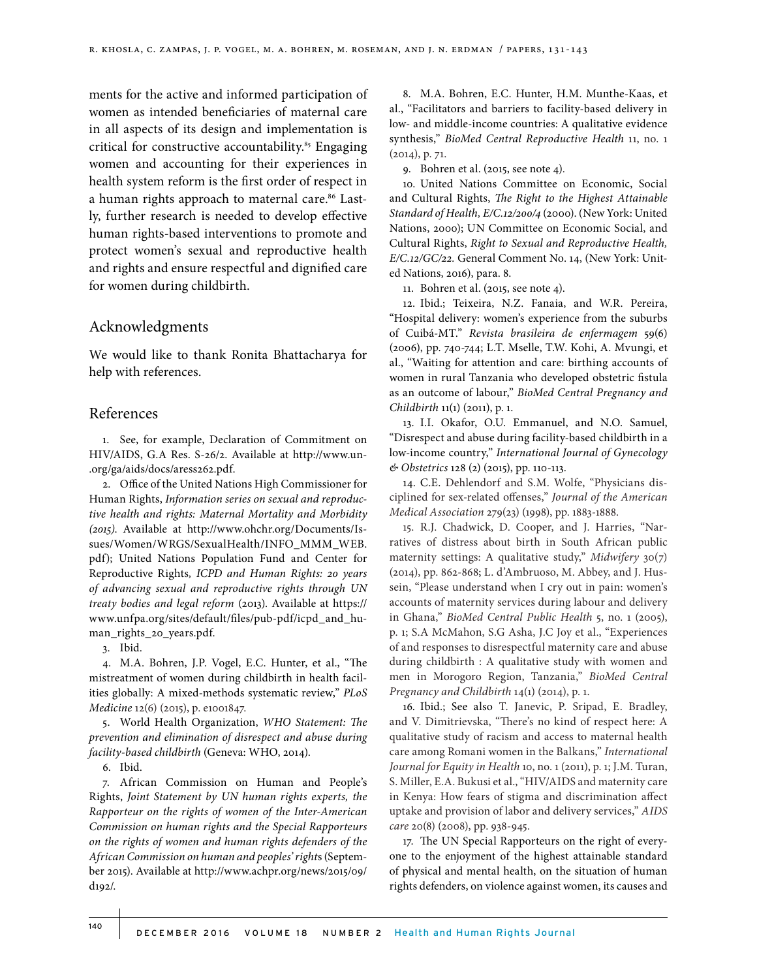ments for the active and informed participation of women as intended beneficiaries of maternal care in all aspects of its design and implementation is critical for constructive accountability.<sup>85</sup> Engaging women and accounting for their experiences in health system reform is the first order of respect in a human rights approach to maternal care.<sup>86</sup> Lastly, further research is needed to develop effective human rights-based interventions to promote and protect women's sexual and reproductive health and rights and ensure respectful and dignified care for women during childbirth.

## Acknowledgments

We would like to thank Ronita Bhattacharya for help with references.

### References

1. See, for example, Declaration of Commitment on HIV/AIDS, G.A Res. S-26/2. Available at http://www.un- .org/ga/aids/docs/aress262.pdf.

2. Office of the United Nations High Commissioner for Human Rights, *Information series on sexual and reproductive health and rights: Maternal Mortality and Morbidity (2015)*. Available at http://www.ohchr.org/Documents/Issues/Women/WRGS/SexualHealth/INFO\_MMM\_WEB. pdf); United Nations Population Fund and Center for Reproductive Rights*, ICPD and Human Rights: 20 years of advancing sexual and reproductive rights through UN treaty bodies and legal reform* (2013). Available at https:// www.unfpa.org/sites/default/files/pub-pdf/icpd\_and\_human\_rights\_20\_years.pdf.

3. Ibid.

4. M.A. Bohren, J.P. Vogel, E.C. Hunter, et al., "The mistreatment of women during childbirth in health facilities globally: A mixed-methods systematic review," *PLoS Medicine* 12(6) (2015), p. e1001847.

5. World Health Organization, *WHO Statement: The prevention and elimination of disrespect and abuse during facility-based childbirth* (Geneva: WHO, 2014).

6. Ibid.

7. African Commission on Human and People's Rights, *Joint Statement by UN human rights experts, the Rapporteur on the rights of women of the Inter-American Commission on human rights and the Special Rapporteurs on the rights of women and human rights defenders of the African Commission on human and peoples' right*s (September 2015). Available at http://www.achpr.org/news/2015/09/ d192/.

8. M.A. Bohren, E.C. Hunter, H.M. Munthe-Kaas, et al., "Facilitators and barriers to facility-based delivery in low- and middle-income countries: A qualitative evidence synthesis," *BioMed Central Reproductive Health* 11, no. 1 (2014), p. 71.

9. Bohren et al. (2015, see note 4).

10. United Nations Committee on Economic, Social and Cultural Rights, *The Right to the Highest Attainable Standard of Health, E/C.12/200/4* (2000). (New York: United Nations, 2000); UN Committee on Economic Social, and Cultural Rights, *Right to Sexual and Reproductive Health, E/C.12/GC/22.* General Comment No. 14, (New York: United Nations, 2016), para. 8.

11. Bohren et al. (2015, see note 4).

12. Ibid.; Teixeira, N.Z. Fanaia, and W.R. Pereira, "Hospital delivery: women's experience from the suburbs of Cuibá-MT." *Revista brasileira de enfermagem* 59(6) (2006), pp. 740-744; L.T. Mselle, T.W. Kohi, A. Mvungi, et al., "Waiting for attention and care: birthing accounts of women in rural Tanzania who developed obstetric fistula as an outcome of labour," *BioMed Central Pregnancy and Childbirth* 11(1) (2011), p. 1.

13. I.I. Okafor, O.U. Emmanuel, and N.O. Samuel, "Disrespect and abuse during facility-based childbirth in a low-income country," *International Journal of Gynecology & Obstetrics* 128 (2) (2015), pp. 110-113.

14. C.E. Dehlendorf and S.M. Wolfe, "Physicians disciplined for sex-related offenses," *Journal of the American Medical Association* 279(23) (1998), pp. 1883-1888.

15. R.J. Chadwick, D. Cooper, and J. Harries, "Narratives of distress about birth in South African public maternity settings: A qualitative study," *Midwifery* 30(7) (2014), pp. 862-868; L. d'Ambruoso, M. Abbey, and J. Hussein, "Please understand when I cry out in pain: women's accounts of maternity services during labour and delivery in Ghana," *BioMed Central Public Health* 5, no. 1 (2005), p. 1; S.A McMahon, S.G Asha, J.C Joy et al., "Experiences of and responses to disrespectful maternity care and abuse during childbirth : A qualitative study with women and men in Morogoro Region, Tanzania," *BioMed Central Pregnancy and Childbirth* 14(1) (2014), p. 1.

16. Ibid.; See also T. Janevic, P. Sripad, E. Bradley, and V. Dimitrievska, "There's no kind of respect here: A qualitative study of racism and access to maternal health care among Romani women in the Balkans," *International Journal for Equity in Health* 10, no. 1 (2011), p. 1; J.M. Turan, S. Miller, E.A. Bukusi et al., "HIV/AIDS and maternity care in Kenya: How fears of stigma and discrimination affect uptake and provision of labor and delivery services," *AIDS care* 20(8) (2008), pp. 938-945.

17. The UN Special Rapporteurs on the right of everyone to the enjoyment of the highest attainable standard of physical and mental health, on the situation of human rights defenders, on violence against women, its causes and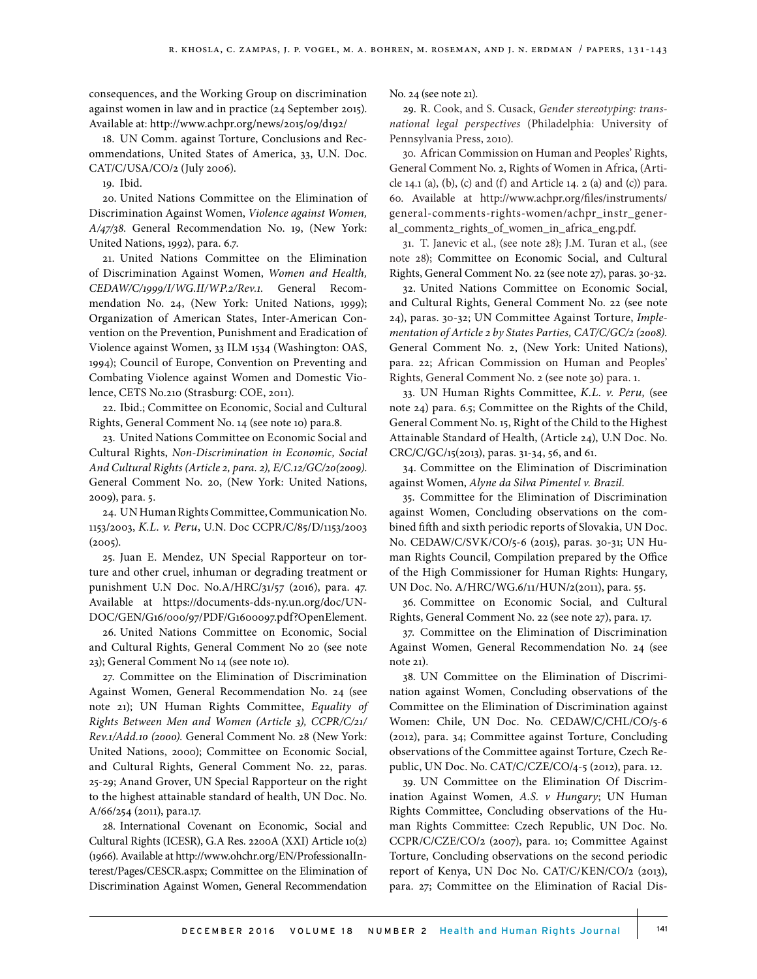consequences, and the Working Group on discrimination against women in law and in practice (24 September 2015). Available at: http://www.achpr.org/news/2015/09/d192/

18. UN Comm. against Torture, Conclusions and Recommendations, United States of America, 33, U.N. Doc. CAT/C/USA/CO/2 (July 2006).

19. Ibid.

20. United Nations Committee on the Elimination of Discrimination Against Women, *Violence against Women, A/47/38*. General Recommendation No. 19, (New York: United Nations, 1992), para. 6.7.

21. United Nations Committee on the Elimination of Discrimination Against Women, *Women and Health, CEDAW/C/1999/I/WG.II/WP.2/Rev.1.* General Recommendation No. 24, (New York: United Nations, 1999); Organization of American States, Inter-American Convention on the Prevention, Punishment and Eradication of Violence against Women, 33 ILM 1534 (Washington: OAS, 1994); Council of Europe, Convention on Preventing and Combating Violence against Women and Domestic Violence, CETS No.210 (Strasburg: COE, 2011).

22. Ibid.; Committee on Economic, Social and Cultural Rights, General Comment No. 14 (see note 10) para.8.

23. United Nations Committee on Economic Social and Cultural Rights, *Non-Discrimination in Economic, Social And Cultural Rights (Article 2, para. 2), E/C.12/GC/20(2009)*. General Comment No. 20, (New York: United Nations, 2009), para. 5.

24. UN Human Rights Committee, Communication No. 1153/2003, *K.L. v. Peru*, U.N. Doc CCPR/C/85/D/1153/2003  $(2005).$ 

25. Juan E. Mendez, UN Special Rapporteur on torture and other cruel, inhuman or degrading treatment or punishment U.N Doc. No.A/HRC/31/57 (2016), para. 47. Available at https://documents-dds-ny.un.org/doc/UN-DOC/GEN/G16/000/97/PDF/G1600097.pdf?OpenElement.

26. United Nations Committee on Economic, Social and Cultural Rights, General Comment No 20 (see note 23); General Comment No 14 (see note 10).

27. Committee on the Elimination of Discrimination Against Women, General Recommendation No. 24 (see note 21); UN Human Rights Committee, *Equality of Rights Between Men and Women (Article 3), CCPR/C/21/ Rev.1/Add.10 (2000).* General Comment No. 28 (New York: United Nations, 2000); Committee on Economic Social, and Cultural Rights, General Comment No. 22, paras. 25-29; Anand Grover, UN Special Rapporteur on the right to the highest attainable standard of health, UN Doc. No. A/66/254 (2011), para.17.

28. International Covenant on Economic, Social and Cultural Rights (ICESR), G.A Res. 2200A (XXI) Article 10(2) (1966). Available at http://www.ohchr.org/EN/ProfessionalInterest/Pages/CESCR.aspx; Committee on the Elimination of Discrimination Against Women, General Recommendation No. 24 (see note 21).

29. R. Cook, and S. Cusack, *Gender stereotyping: transnational legal perspectives* (Philadelphia: University of Pennsylvania Press, 2010).

30. African Commission on Human and Peoples' Rights, General Comment No. 2, Rights of Women in Africa, (Article 14.1 (a), (b), (c) and (f) and Article 14. 2 (a) and (c)) para. 60. Available at http://www.achpr.org/files/instruments/ general-comments-rights-women/achpr\_instr\_general\_comment2\_rights\_of\_women\_in\_africa\_eng.pdf.

31. T. Janevic et al., (see note 28); J.M. Turan et al., (see note 28); Committee on Economic Social, and Cultural Rights, General Comment No. 22 (see note 27), paras. 30-32.

32. United Nations Committee on Economic Social, and Cultural Rights, General Comment No. 22 (see note 24), paras. 30-32; UN Committee Against Torture, *Implementation of Article 2 by States Parties, CAT/C/GC/2 (2008).*  General Comment No. 2, (New York: United Nations), para. 22; African Commission on Human and Peoples' Rights, General Comment No. 2 (see note 30) para. 1.

33. UN Human Rights Committee, *K.L. v. Peru,* (see note 24) para. 6.5; Committee on the Rights of the Child, General Comment No. 15, Right of the Child to the Highest Attainable Standard of Health, (Article 24), U.N Doc. No. CRC/C/GC/15(2013), paras. 31-34, 56, and 61.

34. Committee on the Elimination of Discrimination against Women, *Alyne da Silva Pimentel v. Brazil.*

35. Committee for the Elimination of Discrimination against Women, Concluding observations on the combined fifth and sixth periodic reports of Slovakia, UN Doc. No. CEDAW/C/SVK/CO/5-6 (2015), paras. 30-31; UN Human Rights Council, Compilation prepared by the Office of the High Commissioner for Human Rights: Hungary, UN Doc. No. A/HRC/WG.6/11/HUN/2(2011), para. 55.

36. Committee on Economic Social, and Cultural Rights, General Comment No. 22 (see note 27), para. 17.

37. Committee on the Elimination of Discrimination Against Women, General Recommendation No. 24 (see note 21).

38. UN Committee on the Elimination of Discrimination against Women, Concluding observations of the Committee on the Elimination of Discrimination against Women: Chile, UN Doc. No. CEDAW/C/CHL/CO/5-6 (2012), para. 34; Committee against Torture, Concluding observations of the Committee against Torture, Czech Republic, UN Doc. No. CAT/C/CZE/CO/4-5 (2012), para. 12.

39. UN Committee on the Elimination Of Discrimination Against Women*, A.S. v Hungary*; UN Human Rights Committee, Concluding observations of the Human Rights Committee: Czech Republic, UN Doc. No. CCPR/C/CZE/CO/2 (2007), para. 10; Committee Against Torture, Concluding observations on the second periodic report of Kenya, UN Doc No. CAT/C/KEN/CO/2 (2013), para. 27; Committee on the Elimination of Racial Dis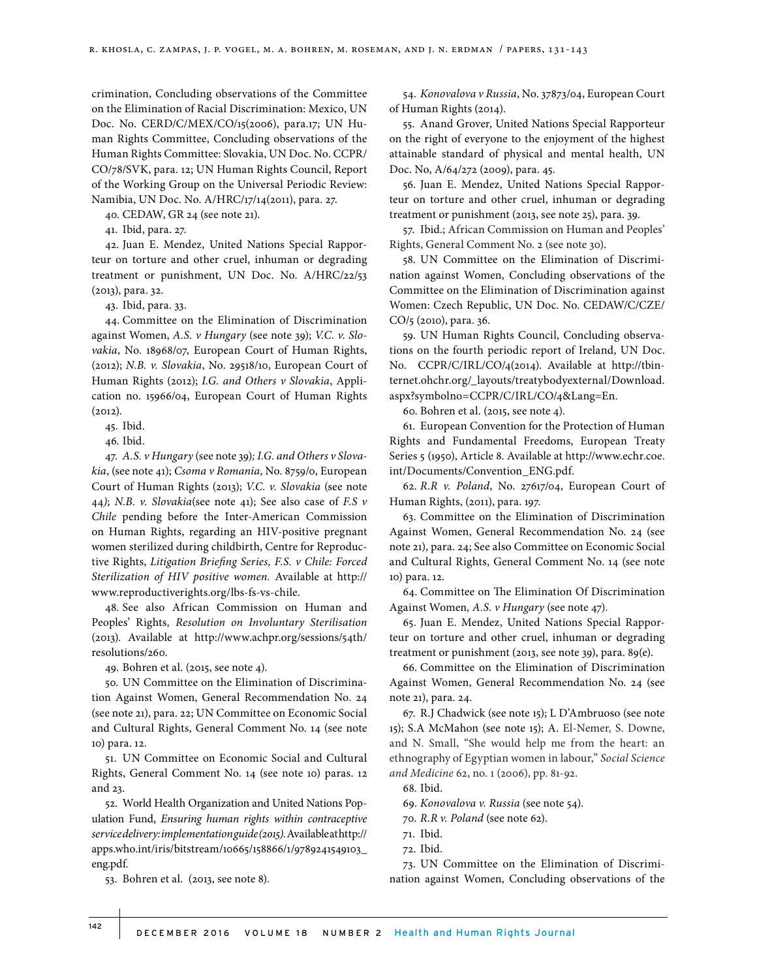crimination, Concluding observations of the Committee on the Elimination of Racial Discrimination: Mexico, UN Doc. No. CERD/C/MEX/CO/15(2006), para.17; UN Human Rights Committee, Concluding observations of the Human Rights Committee: Slovakia, UN Doc. No. CCPR/ CO/78/SVK, para. 12; UN Human Rights Council, Report of the Working Group on the Universal Periodic Review: Namibia, UN Doc. No. A/HRC/17/14(2011), para. 27.

40. CEDAW, GR 24 (see note 21).

41. Ibid, para. 27.

42. Juan E. Mendez, United Nations Special Rapporteur on torture and other cruel, inhuman or degrading treatment or punishment, UN Doc. No. A/HRC/22/53 (2013), para. 32.

43. Ibid, para. 33.

44. Committee on the Elimination of Discrimination against Women, *A.S. v Hungary* (see note 39); *V.C. v. Slovakia*, No. 18968/07, European Court of Human Rights, (2012); *N.B. v. Slovakia*, No. 29518/10, European Court of Human Rights (2012); *I.G. and Others v Slovakia*, Application no. 15966/04, European Court of Human Rights (2012).

45. Ibid.

46. Ibid.

47. *A.S. v Hungary* (see note 39)*; I.G. and Others v Slovakia*, (see note 41); *Csoma v Romania*, No. 8759/0, European Court of Human Rights (2013); *V.C. v. Slovakia* (see note 44*)*; *N.B. v. Slovakia*(see note 41); See also case of *F.S v Chile* pending before the Inter-American Commission on Human Rights, regarding an HIV-positive pregnant women sterilized during childbirth, Centre for Reproductive Rights, *Litigation Briefing Series, F.S. v Chile: Forced Sterilization of HIV positive women.* Available at http:// www.reproductiverights.org/lbs-fs-vs-chile.

48. See also African Commission on Human and Peoples' Rights*, Resolution on Involuntary Sterilisation* (2013). Available at http://www.achpr.org/sessions/54th/ resolutions/260.

49. Bohren et al. (2015, see note 4).

50. UN Committee on the Elimination of Discrimination Against Women, General Recommendation No. 24 (see note 21), para. 22; UN Committee on Economic Social and Cultural Rights, General Comment No. 14 (see note 10) para. 12.

51. UN Committee on Economic Social and Cultural Rights, General Comment No. 14 (see note 10) paras. 12 and 23.

52. World Health Organization and United Nations Population Fund, *Ensuring human rights within contraceptive service delivery: implementation guide (2015).* Available at http:// apps.who.int/iris/bitstream/10665/158866/1/9789241549103\_ eng.pdf*.*

53. Bohren et al. (2013, see note 8).

54. *Konovalova v Russia*, No. 37873/04, European Court of Human Rights (2014).

55. Anand Grover, United Nations Special Rapporteur on the right of everyone to the enjoyment of the highest attainable standard of physical and mental health, UN Doc. No, A/64/272 (2009), para. 45.

56. Juan E. Mendez, United Nations Special Rapporteur on torture and other cruel, inhuman or degrading treatment or punishment (2013, see note 25), para. 39.

57. Ibid.; African Commission on Human and Peoples' Rights, General Comment No. 2 (see note 30).

58. UN Committee on the Elimination of Discrimination against Women, Concluding observations of the Committee on the Elimination of Discrimination against Women: Czech Republic, UN Doc. No. CEDAW/C/CZE/ CO/5 (2010), para. 36.

59. UN Human Rights Council, Concluding observations on the fourth periodic report of Ireland, UN Doc. No. CCPR/C/IRL/CO/4(2014). Available at http://tbinternet.ohchr.org/\_layouts/treatybodyexternal/Download. aspx?symbolno=CCPR/C/IRL/CO/4&Lang=En.

60. Bohren et al. (2015, see note 4).

61. European Convention for the Protection of Human Rights and Fundamental Freedoms, European Treaty Series 5 (1950), Article 8. Available at http://www.echr.coe. int/Documents/Convention\_ENG.pdf.

62. *R.R v. Poland*, No. 27617/04, European Court of Human Rights, (2011), para. 197.

63. Committee on the Elimination of Discrimination Against Women, General Recommendation No. 24 (see note 21), para. 24; See also Committee on Economic Social and Cultural Rights, General Comment No. 14 (see note 10) para. 12.

64. Committee on The Elimination Of Discrimination Against Women*, A.S. v Hungary* (see note 47).

65. Juan E. Mendez, United Nations Special Rapporteur on torture and other cruel, inhuman or degrading treatment or punishment (2013, see note 39), para. 89(e).

66. Committee on the Elimination of Discrimination Against Women, General Recommendation No. 24 (see note 21), para. 24.

67. R.J Chadwick (see note 15); L D'Ambruoso (see note 15); S.A McMahon (see note 15); A. El-Nemer, S. Downe, and N. Small, "She would help me from the heart: an ethnography of Egyptian women in labour," *Social Science and Medicine* 62, no. 1 (2006), pp. 81-92.

68. Ibid.

69. *Konovalova v. Russia* (see note 54).

70. *R.R v. Poland* (see note 62).

- 71. Ibid.
- 72. Ibid.

73. UN Committee on the Elimination of Discrimination against Women, Concluding observations of the